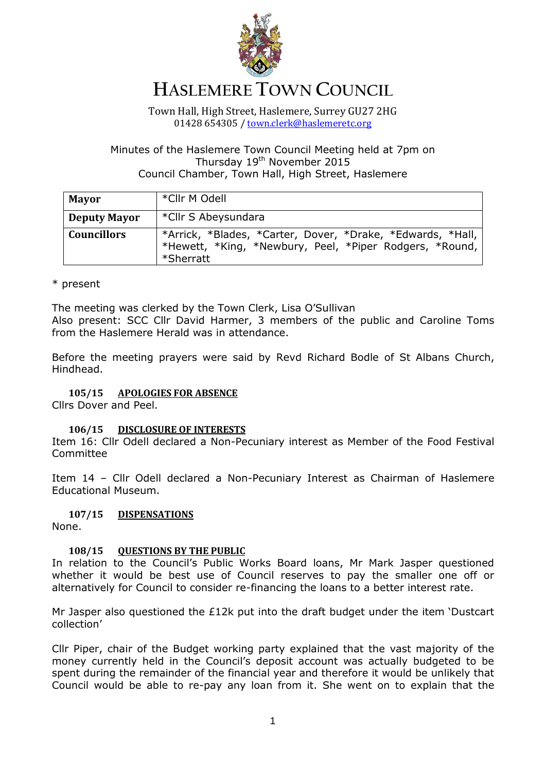

# **HASLEMERE TOWN COUNCIL**

Town Hall, High Street, Haslemere, Surrey GU27 2HG 01428 654305 / [town.clerk@haslemeretc.org](mailto:town.clerk@haslemeretc.org)

# Minutes of the Haslemere Town Council Meeting held at 7pm on Thursday 19th November 2015 Council Chamber, Town Hall, High Street, Haslemere

| <b>Mayor</b>        | *Cllr M Odell                                                                                                                      |
|---------------------|------------------------------------------------------------------------------------------------------------------------------------|
| <b>Deputy Mayor</b> | *Cllr S Abeysundara                                                                                                                |
| <b>Councillors</b>  | *Arrick, *Blades, *Carter, Dover, *Drake, *Edwards, *Hall,<br>*Hewett, *King, *Newbury, Peel, *Piper Rodgers, *Round,<br>*Sherratt |

# \* present

The meeting was clerked by the Town Clerk, Lisa O'Sullivan Also present: SCC Cllr David Harmer, 3 members of the public and Caroline Toms from the Haslemere Herald was in attendance.

Before the meeting prayers were said by Revd Richard Bodle of St Albans Church, Hindhead.

# **105/15 APOLOGIES FOR ABSENCE**

Cllrs Dover and Peel.

## **106/15 DISCLOSURE OF INTERESTS**

Item 16: Cllr Odell declared a Non-Pecuniary interest as Member of the Food Festival Committee

Item 14 – Cllr Odell declared a Non-Pecuniary Interest as Chairman of Haslemere Educational Museum.

## **107/15 DISPENSATIONS**

None.

## **108/15 QUESTIONS BY THE PUBLIC**

In relation to the Council's Public Works Board loans, Mr Mark Jasper questioned whether it would be best use of Council reserves to pay the smaller one off or alternatively for Council to consider re-financing the loans to a better interest rate.

Mr Jasper also questioned the £12k put into the draft budget under the item 'Dustcart collection'

Cllr Piper, chair of the Budget working party explained that the vast majority of the money currently held in the Council's deposit account was actually budgeted to be spent during the remainder of the financial year and therefore it would be unlikely that Council would be able to re-pay any loan from it. She went on to explain that the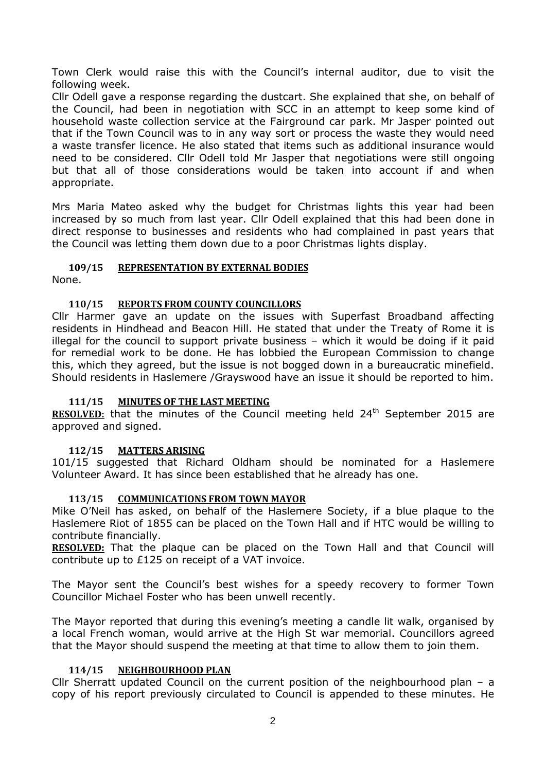Town Clerk would raise this with the Council's internal auditor, due to visit the following week.

Cllr Odell gave a response regarding the dustcart. She explained that she, on behalf of the Council, had been in negotiation with SCC in an attempt to keep some kind of household waste collection service at the Fairground car park. Mr Jasper pointed out that if the Town Council was to in any way sort or process the waste they would need a waste transfer licence. He also stated that items such as additional insurance would need to be considered. Cllr Odell told Mr Jasper that negotiations were still ongoing but that all of those considerations would be taken into account if and when appropriate.

Mrs Maria Mateo asked why the budget for Christmas lights this year had been increased by so much from last year. Cllr Odell explained that this had been done in direct response to businesses and residents who had complained in past years that the Council was letting them down due to a poor Christmas lights display.

# **109/15 REPRESENTATION BY EXTERNAL BODIES**

None.

# **110/15 REPORTS FROM COUNTY COUNCILLORS**

Cllr Harmer gave an update on the issues with Superfast Broadband affecting residents in Hindhead and Beacon Hill. He stated that under the Treaty of Rome it is illegal for the council to support private business – which it would be doing if it paid for remedial work to be done. He has lobbied the European Commission to change this, which they agreed, but the issue is not bogged down in a bureaucratic minefield. Should residents in Haslemere /Grayswood have an issue it should be reported to him.

## **111/15 MINUTES OF THE LAST MEETING**

**RESOLVED:** that the minutes of the Council meeting held 24<sup>th</sup> September 2015 are approved and signed.

## **112/15 MATTERS ARISING**

101/15 suggested that Richard Oldham should be nominated for a Haslemere Volunteer Award. It has since been established that he already has one.

## **113/15 COMMUNICATIONS FROM TOWN MAYOR**

Mike O'Neil has asked, on behalf of the Haslemere Society, if a blue plaque to the Haslemere Riot of 1855 can be placed on the Town Hall and if HTC would be willing to contribute financially.

**RESOLVED:** That the plaque can be placed on the Town Hall and that Council will contribute up to £125 on receipt of a VAT invoice.

The Mayor sent the Council's best wishes for a speedy recovery to former Town Councillor Michael Foster who has been unwell recently.

The Mayor reported that during this evening's meeting a candle lit walk, organised by a local French woman, would arrive at the High St war memorial. Councillors agreed that the Mayor should suspend the meeting at that time to allow them to join them.

## **114/15 NEIGHBOURHOOD PLAN**

Cllr Sherratt updated Council on the current position of the neighbourhood plan – a copy of his report previously circulated to Council is appended to these minutes. He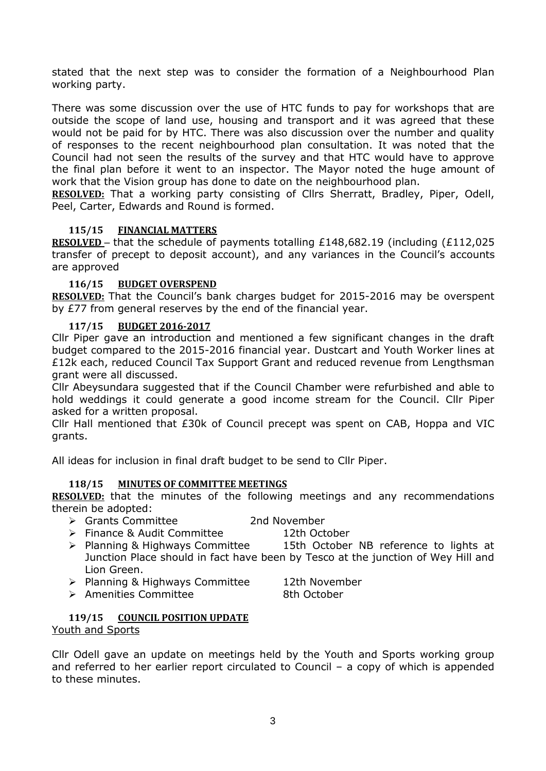stated that the next step was to consider the formation of a Neighbourhood Plan working party.

There was some discussion over the use of HTC funds to pay for workshops that are outside the scope of land use, housing and transport and it was agreed that these would not be paid for by HTC. There was also discussion over the number and quality of responses to the recent neighbourhood plan consultation. It was noted that the Council had not seen the results of the survey and that HTC would have to approve the final plan before it went to an inspector. The Mayor noted the huge amount of work that the Vision group has done to date on the neighbourhood plan.

**RESOLVED:** That a working party consisting of Cllrs Sherratt, Bradley, Piper, Odell, Peel, Carter, Edwards and Round is formed.

# **115/15 FINANCIAL MATTERS**

**RESOLVED** – that the schedule of payments totalling £148,682.19 (including (£112,025) transfer of precept to deposit account), and any variances in the Council's accounts are approved

## **116/15 BUDGET OVERSPEND**

**RESOLVED:** That the Council's bank charges budget for 2015-2016 may be overspent by £77 from general reserves by the end of the financial year.

## **117/15 BUDGET 2016-2017**

Cllr Piper gave an introduction and mentioned a few significant changes in the draft budget compared to the 2015-2016 financial year. Dustcart and Youth Worker lines at £12k each, reduced Council Tax Support Grant and reduced revenue from Lengthsman grant were all discussed.

Cllr Abeysundara suggested that if the Council Chamber were refurbished and able to hold weddings it could generate a good income stream for the Council. Cllr Piper asked for a written proposal.

Cllr Hall mentioned that £30k of Council precept was spent on CAB, Hoppa and VIC grants.

All ideas for inclusion in final draft budget to be send to Cllr Piper.

## **118/15 MINUTES OF COMMITTEE MEETINGS**

**RESOLVED:** that the minutes of the following meetings and any recommendations therein be adopted:

- Grants Committee 2nd November
- > Finance & Audit Committee 12th October

- > Planning & Highways Committee 15th October NB reference to lights at Junction Place should in fact have been by Tesco at the junction of Wey Hill and Lion Green.
- ▶ Planning & Highways Committee 12th November
- > Amenities Committee 8th October

# **119/15 COUNCIL POSITION UPDATE**

## Youth and Sports

Cllr Odell gave an update on meetings held by the Youth and Sports working group and referred to her earlier report circulated to Council – a copy of which is appended to these minutes.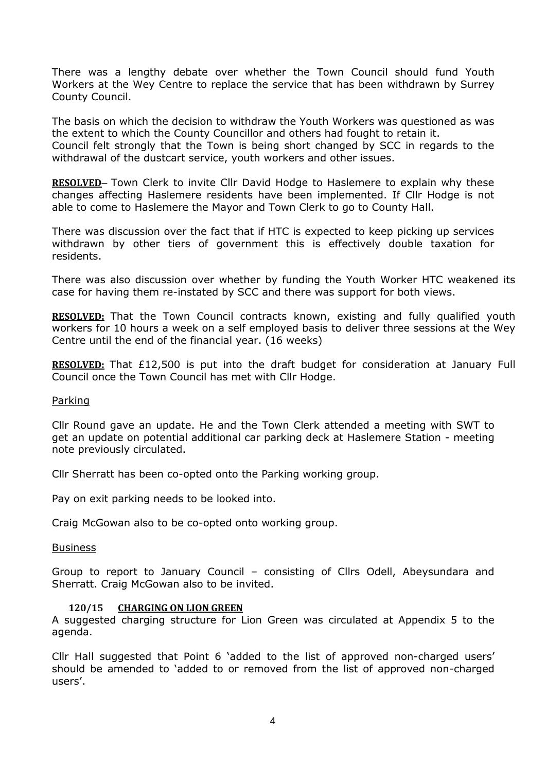There was a lengthy debate over whether the Town Council should fund Youth Workers at the Wey Centre to replace the service that has been withdrawn by Surrey County Council.

The basis on which the decision to withdraw the Youth Workers was questioned as was the extent to which the County Councillor and others had fought to retain it. Council felt strongly that the Town is being short changed by SCC in regards to the withdrawal of the dustcart service, youth workers and other issues.

**RESOLVED**– Town Clerk to invite Cllr David Hodge to Haslemere to explain why these changes affecting Haslemere residents have been implemented. If Cllr Hodge is not able to come to Haslemere the Mayor and Town Clerk to go to County Hall.

There was discussion over the fact that if HTC is expected to keep picking up services withdrawn by other tiers of government this is effectively double taxation for residents.

There was also discussion over whether by funding the Youth Worker HTC weakened its case for having them re-instated by SCC and there was support for both views.

**RESOLVED:** That the Town Council contracts known, existing and fully qualified youth workers for 10 hours a week on a self employed basis to deliver three sessions at the Wey Centre until the end of the financial year. (16 weeks)

**RESOLVED:** That £12,500 is put into the draft budget for consideration at January Full Council once the Town Council has met with Cllr Hodge.

## Parking

Cllr Round gave an update. He and the Town Clerk attended a meeting with SWT to get an update on potential additional car parking deck at Haslemere Station - meeting note previously circulated.

Cllr Sherratt has been co-opted onto the Parking working group.

Pay on exit parking needs to be looked into.

Craig McGowan also to be co-opted onto working group.

Business

Group to report to January Council – consisting of Cllrs Odell, Abeysundara and Sherratt. Craig McGowan also to be invited.

#### **120/15 CHARGING ON LION GREEN**

A suggested charging structure for Lion Green was circulated at Appendix 5 to the agenda.

Cllr Hall suggested that Point 6 'added to the list of approved non-charged users' should be amended to 'added to or removed from the list of approved non-charged users'.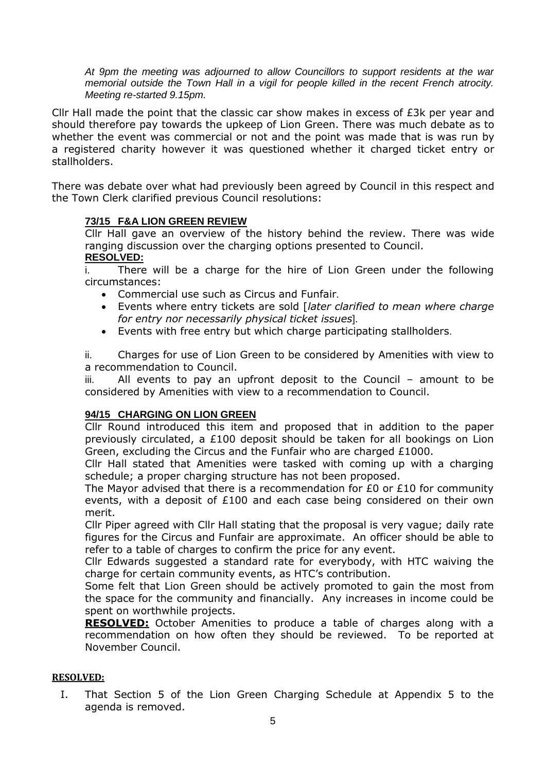*At 9pm the meeting was adjourned to allow Councillors to support residents at the war memorial outside the Town Hall in a vigil for people killed in the recent French atrocity. Meeting re-started 9.15pm.* 

Cllr Hall made the point that the classic car show makes in excess of £3k per year and should therefore pay towards the upkeep of Lion Green. There was much debate as to whether the event was commercial or not and the point was made that is was run by a registered charity however it was questioned whether it charged ticket entry or stallholders.

There was debate over what had previously been agreed by Council in this respect and the Town Clerk clarified previous Council resolutions:

# **73/15 F&A LION GREEN REVIEW**

Cllr Hall gave an overview of the history behind the review. There was wide ranging discussion over the charging options presented to Council.

# **RESOLVED:**

i. There will be a charge for the hire of Lion Green under the following circumstances:

- Commercial use such as Circus and Funfair.
- Events where entry tickets are sold [*later clarified to mean where charge for entry nor necessarily physical ticket issues*].
- Events with free entry but which charge participating stallholders.

ii. Charges for use of Lion Green to be considered by Amenities with view to a recommendation to Council.

iii. All events to pay an upfront deposit to the Council – amount to be considered by Amenities with view to a recommendation to Council.

# **94/15 CHARGING ON LION GREEN**

Cllr Round introduced this item and proposed that in addition to the paper previously circulated, a £100 deposit should be taken for all bookings on Lion Green, excluding the Circus and the Funfair who are charged £1000.

Cllr Hall stated that Amenities were tasked with coming up with a charging schedule; a proper charging structure has not been proposed.

The Mayor advised that there is a recommendation for  $E0$  or  $E10$  for community events, with a deposit of £100 and each case being considered on their own merit.

Cllr Piper agreed with Cllr Hall stating that the proposal is very vague; daily rate figures for the Circus and Funfair are approximate. An officer should be able to refer to a table of charges to confirm the price for any event.

Cllr Edwards suggested a standard rate for everybody, with HTC waiving the charge for certain community events, as HTC's contribution.

Some felt that Lion Green should be actively promoted to gain the most from the space for the community and financially. Any increases in income could be spent on worthwhile projects.

**RESOLVED:** October Amenities to produce a table of charges along with a recommendation on how often they should be reviewed. To be reported at November Council.

# **RESOLVED:**

I. That Section 5 of the Lion Green Charging Schedule at Appendix 5 to the agenda is removed.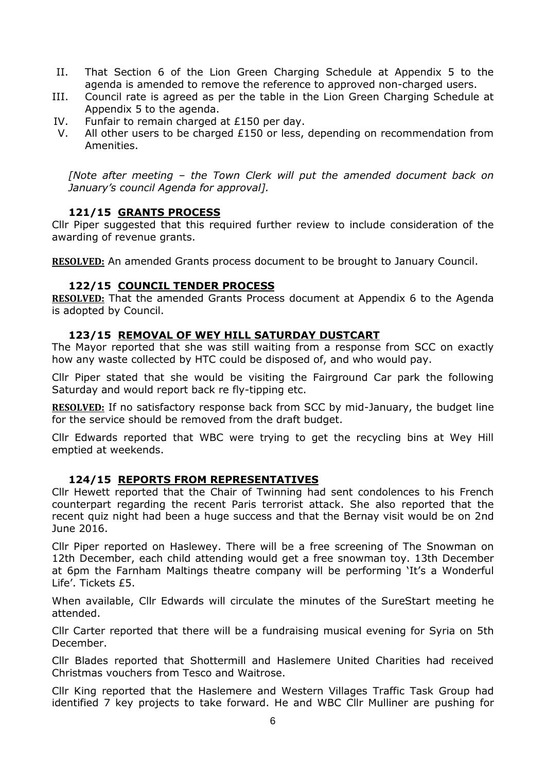- II. That Section 6 of the Lion Green Charging Schedule at Appendix 5 to the agenda is amended to remove the reference to approved non-charged users.
- III. Council rate is agreed as per the table in the Lion Green Charging Schedule at Appendix 5 to the agenda.
- IV. Funfair to remain charged at £150 per day.
- V. All other users to be charged £150 or less, depending on recommendation from Amenities.

*[Note after meeting – the Town Clerk will put the amended document back on January's council Agenda for approval].* 

# **121/15 GRANTS PROCESS**

Cllr Piper suggested that this required further review to include consideration of the awarding of revenue grants.

**RESOLVED:** An amended Grants process document to be brought to January Council.

# **122/15 COUNCIL TENDER PROCESS**

**RESOLVED:** That the amended Grants Process document at Appendix 6 to the Agenda is adopted by Council.

# **123/15 REMOVAL OF WEY HILL SATURDAY DUSTCART**

The Mayor reported that she was still waiting from a response from SCC on exactly how any waste collected by HTC could be disposed of, and who would pay.

Cllr Piper stated that she would be visiting the Fairground Car park the following Saturday and would report back re fly-tipping etc.

**RESOLVED:** If no satisfactory response back from SCC by mid-January, the budget line for the service should be removed from the draft budget.

Cllr Edwards reported that WBC were trying to get the recycling bins at Wey Hill emptied at weekends.

# **124/15 REPORTS FROM REPRESENTATIVES**

Cllr Hewett reported that the Chair of Twinning had sent condolences to his French counterpart regarding the recent Paris terrorist attack. She also reported that the recent quiz night had been a huge success and that the Bernay visit would be on 2nd June 2016.

Cllr Piper reported on Haslewey. There will be a free screening of The Snowman on 12th December, each child attending would get a free snowman toy. 13th December at 6pm the Farnham Maltings theatre company will be performing 'It's a Wonderful Life'. Tickets £5.

When available, Cllr Edwards will circulate the minutes of the SureStart meeting he attended.

Cllr Carter reported that there will be a fundraising musical evening for Syria on 5th December.

Cllr Blades reported that Shottermill and Haslemere United Charities had received Christmas vouchers from Tesco and Waitrose.

Cllr King reported that the Haslemere and Western Villages Traffic Task Group had identified 7 key projects to take forward. He and WBC Cllr Mulliner are pushing for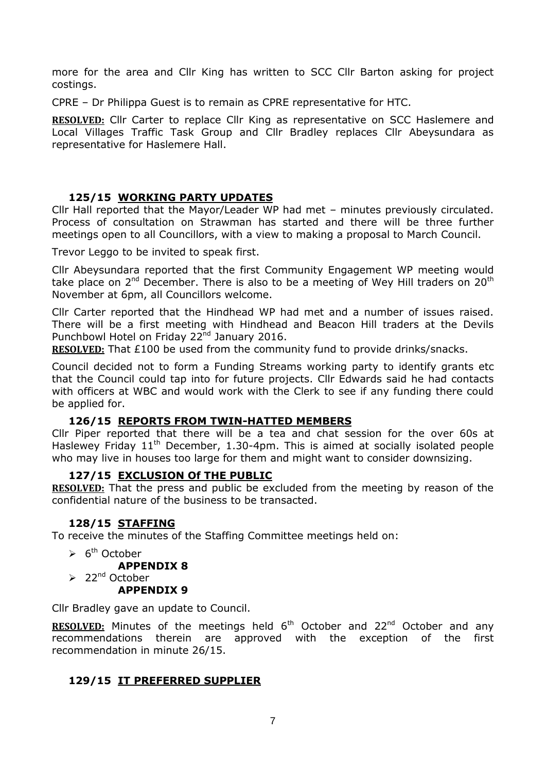more for the area and Cllr King has written to SCC Cllr Barton asking for project costings.

CPRE – Dr Philippa Guest is to remain as CPRE representative for HTC.

**RESOLVED:** Cllr Carter to replace Cllr King as representative on SCC Haslemere and Local Villages Traffic Task Group and Cllr Bradley replaces Cllr Abeysundara as representative for Haslemere Hall.

# **125/15 WORKING PARTY UPDATES**

Cllr Hall reported that the Mayor/Leader WP had met – minutes previously circulated. Process of consultation on Strawman has started and there will be three further meetings open to all Councillors, with a view to making a proposal to March Council.

Trevor Leggo to be invited to speak first.

Cllr Abeysundara reported that the first Community Engagement WP meeting would take place on  $2^{nd}$  December. There is also to be a meeting of Wey Hill traders on  $20^{th}$ November at 6pm, all Councillors welcome.

Cllr Carter reported that the Hindhead WP had met and a number of issues raised. There will be a first meeting with Hindhead and Beacon Hill traders at the Devils Punchbowl Hotel on Friday 22<sup>nd</sup> January 2016.

**RESOLVED:** That £100 be used from the community fund to provide drinks/snacks.

Council decided not to form a Funding Streams working party to identify grants etc that the Council could tap into for future projects. Cllr Edwards said he had contacts with officers at WBC and would work with the Clerk to see if any funding there could be applied for.

# **126/15 REPORTS FROM TWIN-HATTED MEMBERS**

Cllr Piper reported that there will be a tea and chat session for the over 60s at Haslewey Friday 11<sup>th</sup> December, 1.30-4pm. This is aimed at socially isolated people who may live in houses too large for them and might want to consider downsizing.

# **127/15 EXCLUSION Of THE PUBLIC**

**RESOLVED:** That the press and public be excluded from the meeting by reason of the confidential nature of the business to be transacted.

# **128/15 STAFFING**

To receive the minutes of the Staffing Committee meetings held on:

 $\triangleright$  6<sup>th</sup> October

## **APPENDIX 8**

# $\geq 22^{nd}$  October

# **APPENDIX 9**

Cllr Bradley gave an update to Council.

**RESOLVED:** Minutes of the meetings held 6<sup>th</sup> October and 22<sup>nd</sup> October and any recommendations therein are approved with the exception of the first recommendation in minute 26/15.

# **129/15 IT PREFERRED SUPPLIER**